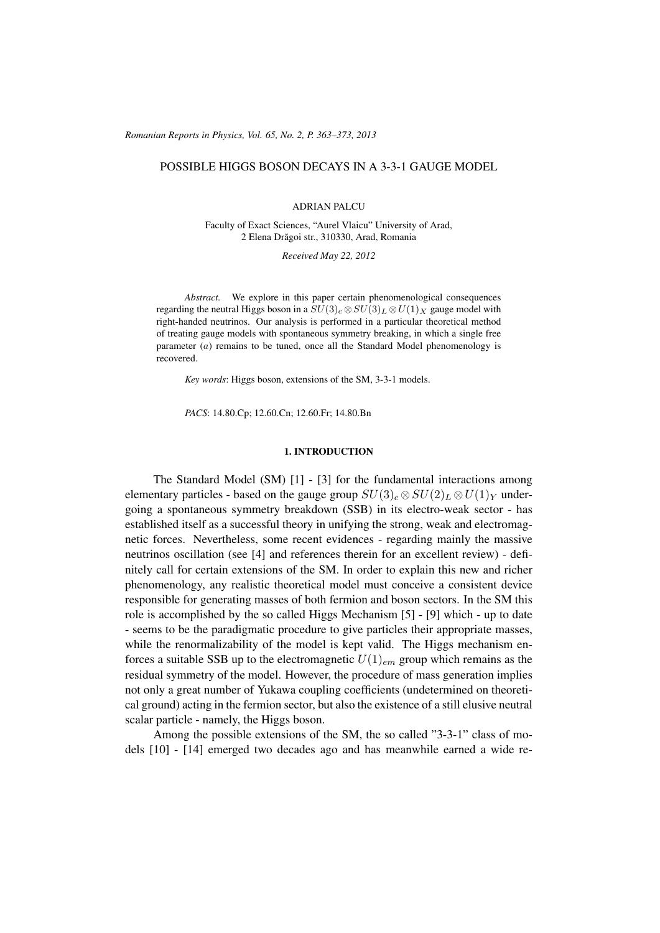(c) RRP 65(No. 2) 363–373 2013 *Romanian Reports in Physics, Vol. 65, No. 2, P. 363–373, 2013*

# POSSIBLE HIGGS BOSON DECAYS IN A 3-3-1 GAUGE MODEL

### ADRIAN PALCU

Faculty of Exact Sciences, "Aurel Vlaicu" University of Arad, 2 Elena Drăgoi str., 310330, Arad, Romania

*Received May 22, 2012*

*Abstract.* We explore in this paper certain phenomenological consequences regarding the neutral Higgs boson in a  $SU(3)_c \otimes SU(3)_L \otimes U(1)_X$  gauge model with right-handed neutrinos. Our analysis is performed in a particular theoretical method of treating gauge models with spontaneous symmetry breaking, in which a single free parameter (a) remains to be tuned, once all the Standard Model phenomenology is recovered.

*Key words*: Higgs boson, extensions of the SM, 3-3-1 models.

*PACS*: 14.80.Cp; 12.60.Cn; 12.60.Fr; 14.80.Bn

## 1. INTRODUCTION

The Standard Model (SM) [1] - [3] for the fundamental interactions among elementary particles - based on the gauge group  $SU(3)_c \otimes SU(2)_L \otimes U(1)_Y$  undergoing a spontaneous symmetry breakdown (SSB) in its electro-weak sector - has established itself as a successful theory in unifying the strong, weak and electromagnetic forces. Nevertheless, some recent evidences - regarding mainly the massive neutrinos oscillation (see [4] and references therein for an excellent review) - definitely call for certain extensions of the SM. In order to explain this new and richer phenomenology, any realistic theoretical model must conceive a consistent device responsible for generating masses of both fermion and boson sectors. In the SM this role is accomplished by the so called Higgs Mechanism [5] - [9] which - up to date - seems to be the paradigmatic procedure to give particles their appropriate masses, while the renormalizability of the model is kept valid. The Higgs mechanism enforces a suitable SSB up to the electromagnetic  $U(1)_{em}$  group which remains as the residual symmetry of the model. However, the procedure of mass generation implies not only a great number of Yukawa coupling coefficients (undetermined on theoretical ground) acting in the fermion sector, but also the existence of a still elusive neutral scalar particle - namely, the Higgs boson.

Among the possible extensions of the SM, the so called "3-3-1" class of models [10] - [14] emerged two decades ago and has meanwhile earned a wide re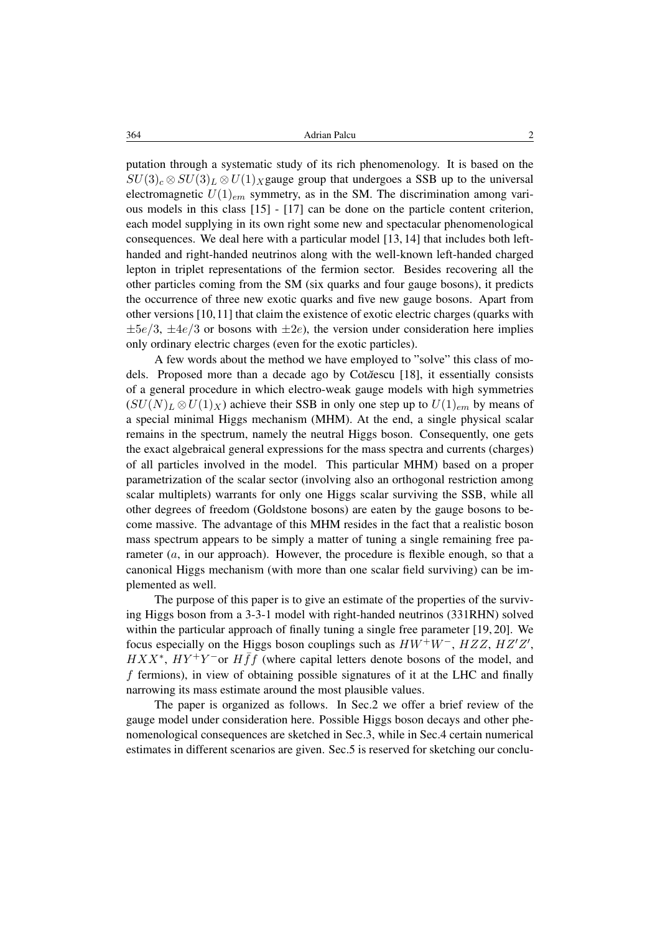364 Adrian Palcu 2

putation through a systematic study of its rich phenomenology. It is based on the  $SU(3)_c \otimes SU(3)_L \otimes U(1)_X$  gauge group that undergoes a SSB up to the universal electromagnetic  $U(1)_{em}$  symmetry, as in the SM. The discrimination among various models in this class [15] - [17] can be done on the particle content criterion, each model supplying in its own right some new and spectacular phenomenological consequences. We deal here with a particular model [13, 14] that includes both lefthanded and right-handed neutrinos along with the well-known left-handed charged lepton in triplet representations of the fermion sector. Besides recovering all the other particles coming from the SM (six quarks and four gauge bosons), it predicts the occurrence of three new exotic quarks and five new gauge bosons. Apart from other versions [10,11] that claim the existence of exotic electric charges (quarks with  $\pm 5e/3$ ,  $\pm 4e/3$  or bosons with  $\pm 2e$ ), the version under consideration here implies only ordinary electric charges (even for the exotic particles).

A few words about the method we have employed to "solve" this class of models. Proposed more than a decade ago by Cot*˘a*escu [18], it essentially consists of a general procedure in which electro-weak gauge models with high symmetries  $(SU(N)<sub>L</sub> \otimes U(1)<sub>X</sub>)$  achieve their SSB in only one step up to  $U(1)<sub>em</sub>$  by means of a special minimal Higgs mechanism (MHM). At the end, a single physical scalar remains in the spectrum, namely the neutral Higgs boson. Consequently, one gets the exact algebraical general expressions for the mass spectra and currents (charges) of all particles involved in the model. This particular MHM) based on a proper parametrization of the scalar sector (involving also an orthogonal restriction among scalar multiplets) warrants for only one Higgs scalar surviving the SSB, while all other degrees of freedom (Goldstone bosons) are eaten by the gauge bosons to become massive. The advantage of this MHM resides in the fact that a realistic boson mass spectrum appears to be simply a matter of tuning a single remaining free parameter  $(a, in our approach)$ . However, the procedure is flexible enough, so that a canonical Higgs mechanism (with more than one scalar field surviving) can be implemented as well.

The purpose of this paper is to give an estimate of the properties of the surviving Higgs boson from a 3-3-1 model with right-handed neutrinos (331RHN) solved within the particular approach of finally tuning a single free parameter [19, 20]. We focus especially on the Higgs boson couplings such as  $HW^+W^-$ ,  $HZZ$ ,  $HZ'Z'$ ,  $HXX^*$ ,  $HY^+Y^-$  or  $H\bar{f}f$  (where capital letters denote bosons of the model, and f fermions), in view of obtaining possible signatures of it at the LHC and finally narrowing its mass estimate around the most plausible values.

The paper is organized as follows. In Sec.2 we offer a brief review of the gauge model under consideration here. Possible Higgs boson decays and other phenomenological consequences are sketched in Sec.3, while in Sec.4 certain numerical estimates in different scenarios are given. Sec.5 is reserved for sketching our conclu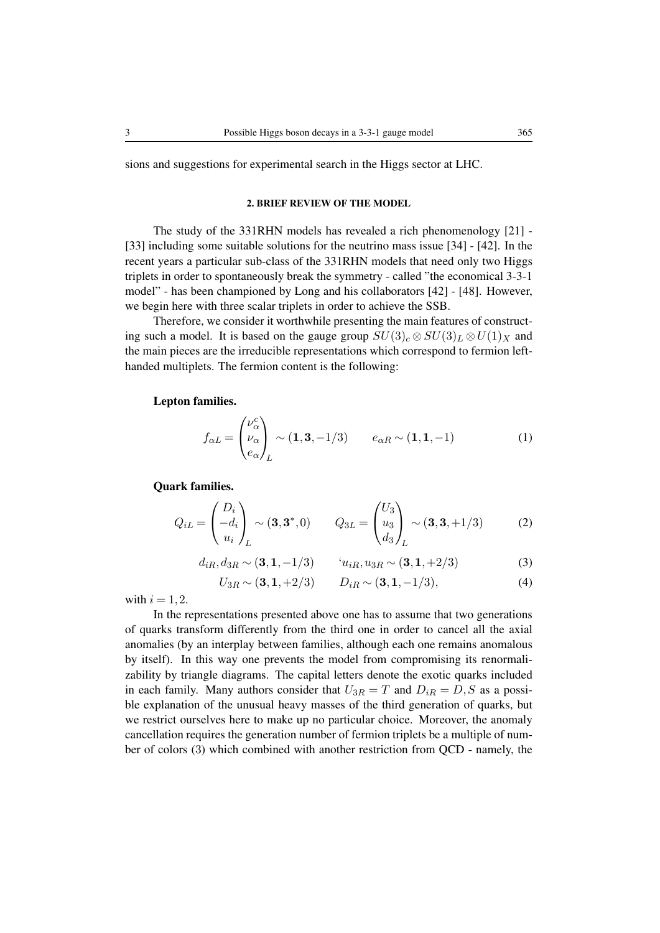sions and suggestions for experimental search in the Higgs sector at LHC.

### 2. BRIEF REVIEW OF THE MODEL

The study of the 331RHN models has revealed a rich phenomenology [21] - [33] including some suitable solutions for the neutrino mass issue [34] - [42]. In the recent years a particular sub-class of the 331RHN models that need only two Higgs triplets in order to spontaneously break the symmetry - called "the economical 3-3-1 model" - has been championed by Long and his collaborators [42] - [48]. However, we begin here with three scalar triplets in order to achieve the SSB.

Therefore, we consider it worthwhile presenting the main features of constructing such a model. It is based on the gauge group  $SU(3)_c \otimes SU(3)_L \otimes U(1)_X$  and the main pieces are the irreducible representations which correspond to fermion lefthanded multiplets. The fermion content is the following:

## Lepton families.

$$
f_{\alpha L} = \begin{pmatrix} \nu_{\alpha}^{c} \\ \nu_{\alpha} \\ e_{\alpha} \end{pmatrix}_{L} \sim (\mathbf{1}, \mathbf{3}, -1/3) \qquad e_{\alpha R} \sim (\mathbf{1}, \mathbf{1}, -1) \tag{1}
$$

Quark families.

$$
Q_{iL} = \begin{pmatrix} D_i \\ -d_i \\ u_i \end{pmatrix}_{L} \sim (\mathbf{3}, \mathbf{3}^*, 0) \qquad Q_{3L} = \begin{pmatrix} U_3 \\ u_3 \\ d_3 \end{pmatrix}_{L} \sim (\mathbf{3}, \mathbf{3}, +1/3) \tag{2}
$$

$$
d_{iR}, d_{3R} \sim (3, 1, -1/3) \qquad 'u_{iR}, u_{3R} \sim (3, 1, +2/3) \tag{3}
$$

$$
U_{3R} \sim (\mathbf{3}, \mathbf{1}, +2/3) \qquad D_{iR} \sim (\mathbf{3}, \mathbf{1}, -1/3), \tag{4}
$$

with  $i = 1, 2$ .

In the representations presented above one has to assume that two generations of quarks transform differently from the third one in order to cancel all the axial anomalies (by an interplay between families, although each one remains anomalous by itself). In this way one prevents the model from compromising its renormalizability by triangle diagrams. The capital letters denote the exotic quarks included in each family. Many authors consider that  $U_{3R} = T$  and  $D_{iR} = D, S$  as a possible explanation of the unusual heavy masses of the third generation of quarks, but we restrict ourselves here to make up no particular choice. Moreover, the anomaly cancellation requires the generation number of fermion triplets be a multiple of number of colors (3) which combined with another restriction from QCD - namely, the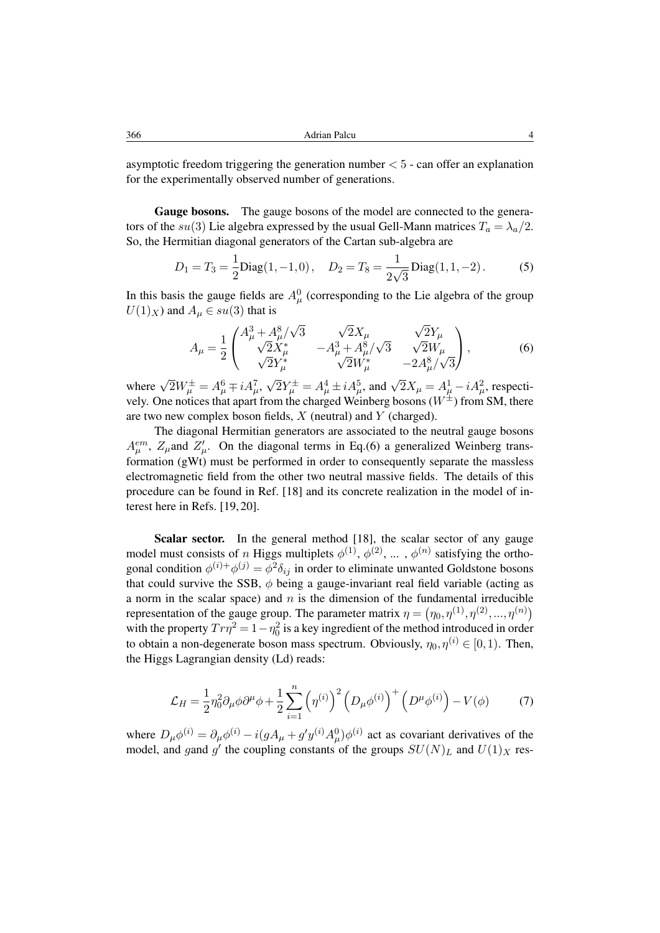asymptotic freedom triggering the generation number  $< 5$  - can offer an explanation for the experimentally observed number of generations.

Gauge bosons. The gauge bosons of the model are connected to the generators of the su(3) Lie algebra expressed by the usual Gell-Mann matrices  $T_a = \lambda_a/2$ . So, the Hermitian diagonal generators of the Cartan sub-algebra are

$$
D_1 = T_3 = \frac{1}{2} \text{Diag}(1, -1, 0), \quad D_2 = T_8 = \frac{1}{2\sqrt{3}} \text{Diag}(1, 1, -2).
$$
 (5)

In this basis the gauge fields are  $A^0_\mu$  (corresponding to the Lie algebra of the group  $U(1)_X$ ) and  $A_u \in su(3)$  that is

$$
A_{\mu} = \frac{1}{2} \begin{pmatrix} A_{\mu}^{3} + A_{\mu}^{8} / \sqrt{3} & \sqrt{2}X_{\mu} & \sqrt{2}Y_{\mu} \\ \sqrt{2}X_{\mu}^{*} & -A_{\mu}^{3} + A_{\mu}^{8} / \sqrt{3} & \sqrt{2}W_{\mu} \\ \sqrt{2}Y_{\mu}^{*} & \sqrt{2}W_{\mu}^{*} & -2A_{\mu}^{8} / \sqrt{3} \end{pmatrix},
$$
 (6)

where  $\sqrt{2}W^{\pm}_{\mu} = A^6_{\mu} \mp iA^7_{\mu}$ , √  $2Y^{\pm}_{\mu} = A_{\mu}^{4} \pm iA_{\mu}^{5}$ , and  $\sqrt{2}X_{\mu} = A_{\mu}^{1} - iA_{\mu}^{2}$ , respectively. One notices that apart from the charged Weinberg bosons ( $W^{\pm}$ ) from SM, there are two new complex boson fields,  $X$  (neutral) and  $Y$  (charged).

The diagonal Hermitian generators are associated to the neutral gauge bosons  $A_{\mu}^{em}$ ,  $Z_{\mu}$  and  $Z'_{\mu}$ . On the diagonal terms in Eq.(6) a generalized Weinberg transformation (gWt) must be performed in order to consequently separate the massless electromagnetic field from the other two neutral massive fields. The details of this procedure can be found in Ref. [18] and its concrete realization in the model of interest here in Refs. [19, 20].

Scalar sector. In the general method [18], the scalar sector of any gauge model must consists of n Higgs multiplets  $\phi^{(1)}$ ,  $\phi^{(2)}$ , ...,  $\phi^{(n)}$  satisfying the orthogonal condition  $\phi^{(i)+}\phi^{(j)} = \phi^2 \delta_{ij}$  in order to eliminate unwanted Goldstone bosons that could survive the SSB,  $\phi$  being a gauge-invariant real field variable (acting as a norm in the scalar space) and  $n$  is the dimension of the fundamental irreducible representation of the gauge group. The parameter matrix  $\eta = (\eta_0, \eta^{(1)}, \eta^{(2)}, ..., \eta^{(n)})$ with the property  $Tr\eta^2 = 1 - \eta_0^2$  is a key ingredient of the method introduced in order to obtain a non-degenerate boson mass spectrum. Obviously,  $\eta_0, \eta^{(i)} \in [0, 1)$ . Then, the Higgs Lagrangian density (Ld) reads:

$$
\mathcal{L}_H = \frac{1}{2} \eta_0^2 \partial_\mu \phi \partial^\mu \phi + \frac{1}{2} \sum_{i=1}^n \left( \eta^{(i)} \right)^2 \left( D_\mu \phi^{(i)} \right)^+ \left( D^\mu \phi^{(i)} \right) - V(\phi) \tag{7}
$$

where  $D_{\mu}\phi^{(i)} = \partial_{\mu}\phi^{(i)} - i(gA_{\mu} + g'y^{(i)}A_{\mu}^0)\phi^{(i)}$  act as covariant derivatives of the model, and gand g' the coupling constants of the groups  $SU(N)_L$  and  $U(1)_X$  res-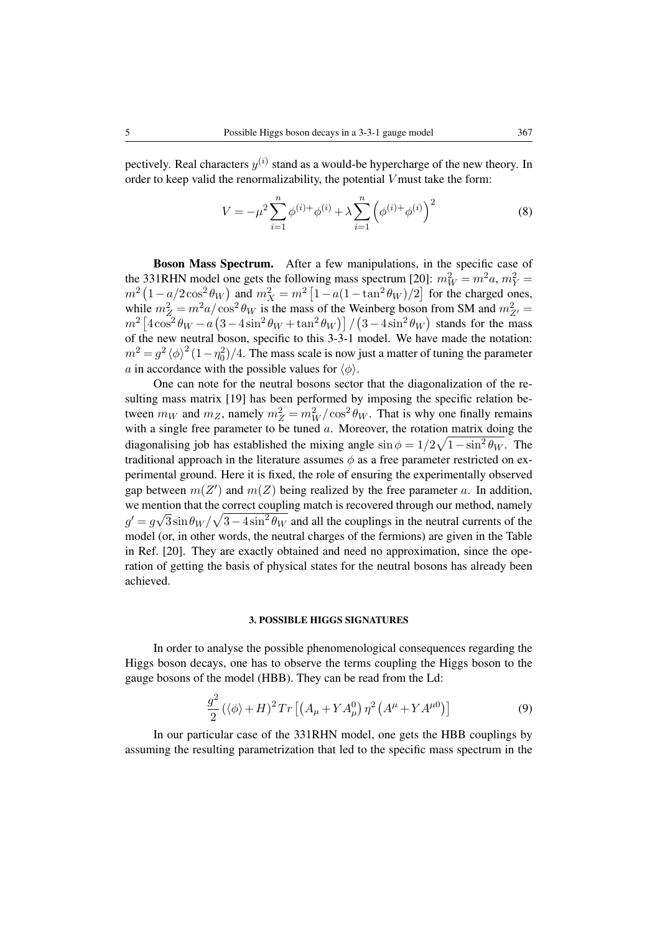pectively. Real characters  $y^{(i)}$  stand as a would-be hypercharge of the new theory. In order to keep valid the renormalizability, the potential V must take the form:

$$
V = -\mu^2 \sum_{i=1}^n \phi^{(i)+} \phi^{(i)} + \lambda \sum_{i=1}^n \left( \phi^{(i)+} \phi^{(i)} \right)^2 \tag{8}
$$

Boson Mass Spectrum. After a few manipulations, in the specific case of the 331RHN model one gets the following mass spectrum [20]:  $m_W^2 = m^2 a$ ,  $m_Y^2 =$  $m^2 (1 - a/2 \cos^2 \theta_W)$  and  $m_X^2 = m^2 [1 - a(1 - \tan^2 \theta_W)/2]$  for the charged ones, while  $m_Z^2 = m^2 a / \cos^2 \theta_W$  is the mass of the Weinberg boson from SM and  $m_{Z'}^2 =$  $m^2 \left[4\cos^2{\theta_W} - a\left(3-4\sin^2{\theta_W} + \tan^2{\theta_W}\right)\right] / (3-4\sin^2{\theta_W})$  stands for the mass of the new neutral boson, specific to this 3-3-1 model. We have made the notation:  $m^2 = g^2 \langle \phi \rangle^2 (1 - \eta_0^2)/4$ . The mass scale is now just a matter of tuning the parameter a in accordance with the possible values for  $\langle \phi \rangle$ .

One can note for the neutral bosons sector that the diagonalization of the resulting mass matrix [19] has been performed by imposing the specific relation between  $m_W$  and  $m_Z$ , namely  $m_Z^2 = m_W^2 / \cos^2 \theta_W$ . That is why one finally remains with a single free parameter to be tuned  $a$ . Moreover, the rotation matrix doing the diagonalising job has established the mixing angle  $\sin \phi = 1/2\sqrt{1-\sin^2\theta_W}$ . The traditional approach in the literature assumes  $\phi$  as a free parameter restricted on experimental ground. Here it is fixed, the role of ensuring the experimentally observed gap between  $m(Z')$  and  $m(Z)$  being realized by the free parameter a. In addition, we mention that the correct coupling match is recovered through our method, namely  $g' = g\sqrt{3}\sin\theta_W/\sqrt{3-4\sin^2\theta_W}$  and all the couplings in the neutral currents of the model (or, in other words, the neutral charges of the fermions) are given in the Table in Ref. [20]. They are exactly obtained and need no approximation, since the operation of getting the basis of physical states for the neutral bosons has already been achieved.

### 3. POSSIBLE HIGGS SIGNATURES

In order to analyse the possible phenomenological consequences regarding the Higgs boson decays, one has to observe the terms coupling the Higgs boson to the gauge bosons of the model (HBB). They can be read from the Ld:

$$
\frac{g^2}{2} \left( \langle \phi \rangle + H \right)^2 \operatorname{Tr} \left[ \left( A_\mu + Y A_\mu^0 \right) \eta^2 \left( A^\mu + Y A^{\mu 0} \right) \right] \tag{9}
$$

In our particular case of the 331RHN model, one gets the HBB couplings by assuming the resulting parametrization that led to the specific mass spectrum in the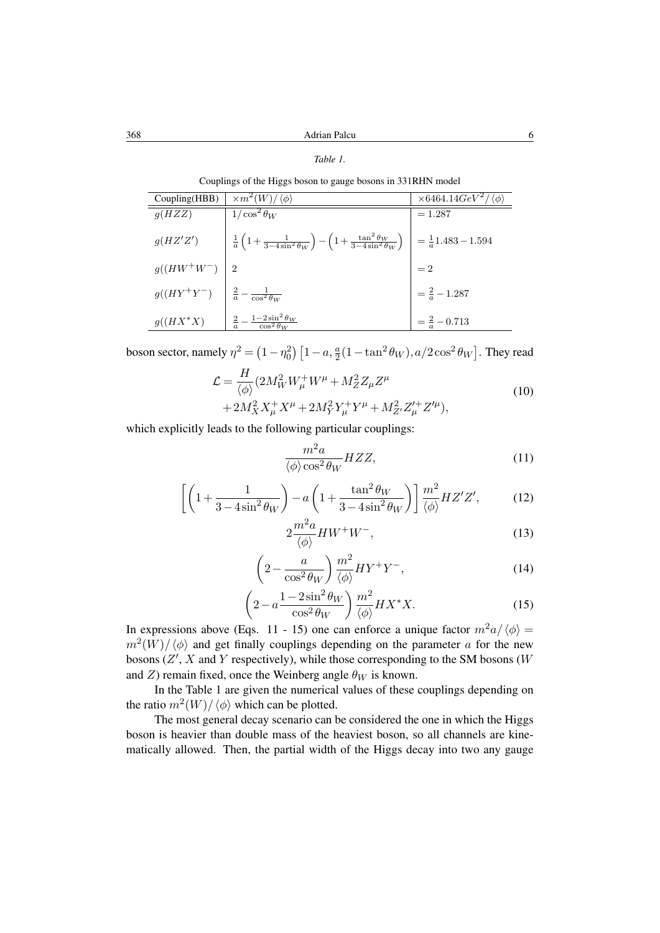### *Table 1.*

Couplings of the Higgs boson to gauge bosons in 331RHN model

| Coupling(HBB) | $\sqrt{\langle m^2(W)/\langle \phi \rangle}$                                                                                                          | $\times 6464.14 GeV^2/\langle \phi \rangle$ |
|---------------|-------------------------------------------------------------------------------------------------------------------------------------------------------|---------------------------------------------|
| g(HZZ)        | $1/\cos^2\theta_W$                                                                                                                                    | $=1.287$                                    |
| g(HZ'Z')      | $\frac{1}{a}\left(1+\frac{1}{3-4\sin^2\theta_W}\right) - \left(1+\frac{\tan^2\theta_W}{3-4\sin^2\theta_W}\right)\ \Big  \ = \frac{1}{a}1.483 - 1.594$ |                                             |
| $g((HW^+W^-)$ | 2                                                                                                                                                     | $=2$                                        |
| $g((HY^+Y^-)$ | $\frac{2}{a} - \frac{1}{\cos^2 \theta_W}$                                                                                                             | $=\frac{2}{a}-1.287$                        |
| $g((HX^*X)$   | $\frac{2}{a} - \frac{1-2\sin^2\theta_W}{\cos^2\theta_W}$                                                                                              | $=\frac{2}{a}-0.713$                        |

boson sector, namely  $\eta^2 = \left(1 - \eta_0^2\right) \left[1 - a, \frac{a}{2}(1 - \tan^2\theta_W), a/2\cos^2\theta_W\right]$ . They read

$$
\mathcal{L} = \frac{H}{\langle \phi \rangle} (2M_W^2 W_\mu^+ W^\mu + M_Z^2 Z_\mu Z^\mu + 2M_X^2 X_\mu^+ X^\mu + 2M_Y^2 Y_\mu^+ Y^\mu + M_{Z'}^2 Z_\mu^{\prime +} Z^{\prime \mu}),
$$
\n(10)

which explicitly leads to the following particular couplings:

$$
\frac{m^2 a}{\langle \phi \rangle \cos^2 \theta_W} HZZ,\tag{11}
$$

$$
\left[ \left( 1 + \frac{1}{3 - 4\sin^2\theta_W} \right) - a \left( 1 + \frac{\tan^2\theta_W}{3 - 4\sin^2\theta_W} \right) \right] \frac{m^2}{\langle \phi \rangle} HZ'Z', \tag{12}
$$

$$
2\frac{m^2a}{\langle \phi \rangle}HW^+W^-, \tag{13}
$$

$$
\left(2 - \frac{a}{\cos^2 \theta_W}\right) \frac{m^2}{\langle \phi \rangle} H Y^+ Y^-, \tag{14}
$$

$$
\left(2 - a \frac{1 - 2\sin^2 \theta_W}{\cos^2 \theta_W}\right) \frac{m^2}{\langle \phi \rangle} H X^* X. \tag{15}
$$

In expressions above (Eqs. 11 - 15) one can enforce a unique factor  $m^2 a/\langle \phi \rangle =$  $m^2(W)/\langle \phi \rangle$  and get finally couplings depending on the parameter a for the new bosons  $(Z', X$  and Y respectively), while those corresponding to the SM bosons (W and Z) remain fixed, once the Weinberg angle  $\theta_W$  is known.

In the Table 1 are given the numerical values of these couplings depending on the ratio  $m^2(W)/\langle \phi \rangle$  which can be plotted.

The most general decay scenario can be considered the one in which the Higgs boson is heavier than double mass of the heaviest boson, so all channels are kinematically allowed. Then, the partial width of the Higgs decay into two any gauge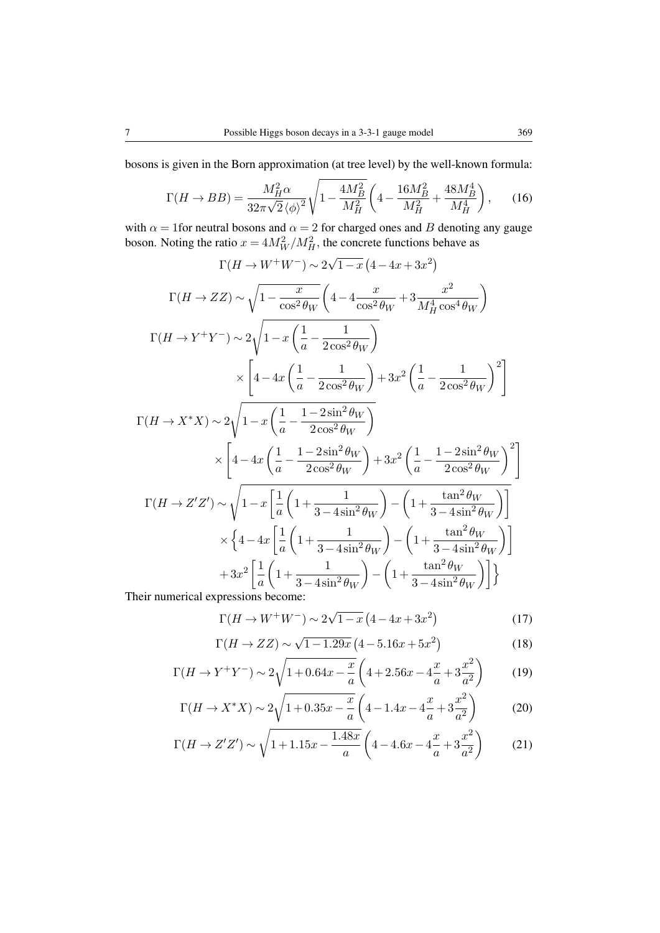bosons is given in the Born approximation (at tree level) by the well-known formula:

$$
\Gamma(H \to BB) = \frac{M_H^2 \alpha}{32\pi\sqrt{2} \langle \phi \rangle^2} \sqrt{1 - \frac{4M_B^2}{M_H^2}} \left( 4 - \frac{16M_B^2}{M_H^2} + \frac{48M_B^4}{M_H^4} \right), \tag{16}
$$

with  $\alpha = 1$  for neutral bosons and  $\alpha = 2$  for charged ones and B denoting any gauge boson. Noting the ratio  $x = 4M_W^2/M_H^2$ , the concrete functions behave as

$$
\Gamma(H \to W^+W^-) \sim 2\sqrt{1-x} \left(4-4x+3x^2\right)
$$
  
\n
$$
\Gamma(H \to ZZ) \sim \sqrt{1-\frac{x}{\cos^2\theta_W}} \left(4-4\frac{x}{\cos^2\theta_W}+3\frac{x^2}{M_H^4 \cos^4\theta_W}\right)
$$
  
\n
$$
\Gamma(H \to Y^+Y^-) \sim 2\sqrt{1-x\left(\frac{1}{a}-\frac{1}{2\cos^2\theta_W}\right)}
$$
  
\n
$$
\times \left[4-4x\left(\frac{1}{a}-\frac{1}{2\cos^2\theta_W}\right)+3x^2\left(\frac{1}{a}-\frac{1}{2\cos^2\theta_W}\right)^2\right]
$$
  
\n
$$
\Gamma(H \to X^*X) \sim 2\sqrt{1-x\left(\frac{1}{a}-\frac{1-2\sin^2\theta_W}{2\cos^2\theta_W}\right)}
$$
  
\n
$$
\times \left[4-4x\left(\frac{1}{a}-\frac{1-2\sin^2\theta_W}{2\cos^2\theta_W}\right)+3x^2\left(\frac{1}{a}-\frac{1-2\sin^2\theta_W}{2\cos^2\theta_W}\right)^2\right]
$$
  
\n
$$
\Gamma(H \to Z'Z') \sim \sqrt{1-x\left[\frac{1}{a}\left(1+\frac{1}{3-4\sin^2\theta_W}\right)-\left(1+\frac{\tan^2\theta_W}{3-4\sin^2\theta_W}\right)\right]}
$$
  
\n
$$
\times \left\{4-4x\left[\frac{1}{a}\left(1+\frac{1}{3-4\sin^2\theta_W}\right)-\left(1+\frac{\tan^2\theta_W}{3-4\sin^2\theta_W}\right)\right]
$$
  
\n
$$
+3x^2\left[\frac{1}{a}\left(1+\frac{1}{3-4\sin^2\theta_W}\right)-\left(1+\frac{\tan^2\theta_W}{3-4\sin^2\theta_W}\right)\right]\right\}
$$

Their numerical expressions become:

$$
\Gamma(H \to W^+ W^-) \sim 2\sqrt{1-x} \left(4 - 4x + 3x^2\right)
$$
\n(17)

$$
\Gamma(H \to ZZ) \sim \sqrt{1 - 1.29x} \left( 4 - 5.16x + 5x^2 \right)
$$
\n(18)

$$
\Gamma(H \to Y^+Y^-) \sim 2\sqrt{1 + 0.64x - \frac{x}{a}} \left(4 + 2.56x - 4\frac{x}{a} + 3\frac{x^2}{a^2}\right) \tag{19}
$$

$$
\Gamma(H \to X^*X) \sim 2\sqrt{1 + 0.35x - \frac{x}{a}} \left(4 - 1.4x - 4\frac{x}{a} + 3\frac{x^2}{a^2}\right) \tag{20}
$$

$$
\Gamma(H \to Z'Z') \sim \sqrt{1 + 1.15x - \frac{1.48x}{a}} \left( 4 - 4.6x - 4\frac{x}{a} + 3\frac{x^2}{a^2} \right) \tag{21}
$$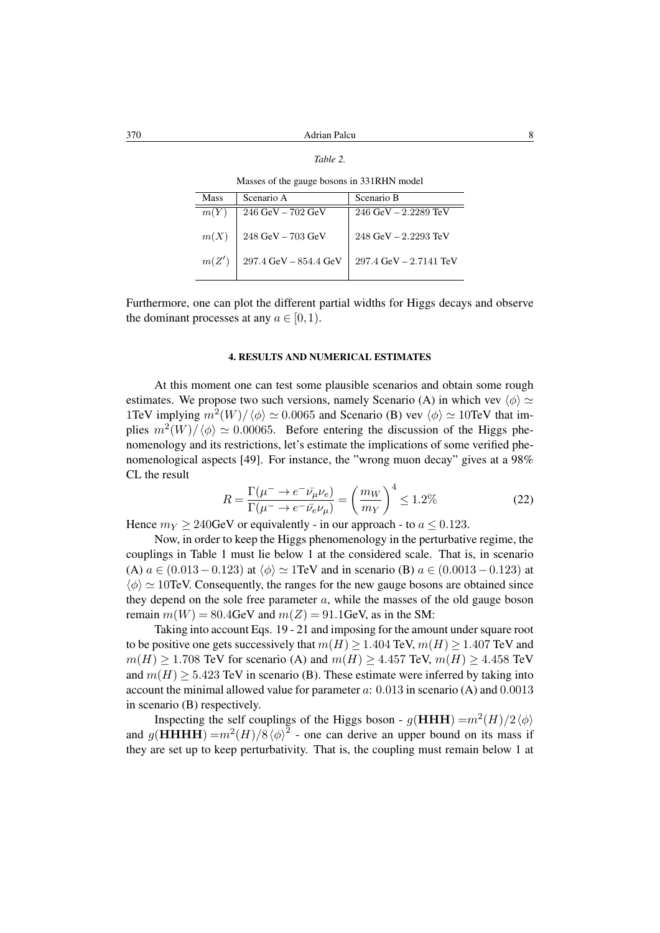| ani |  |
|-----|--|
|-----|--|

Masses of the gauge bosons in 331RHN model

| Mass  | Scenario A                              | Scenario B                 |
|-------|-----------------------------------------|----------------------------|
| m(Y)  | $246 \text{ GeV} - 702 \text{ GeV}$     | $246$ GeV $- 2.2289$ TeV   |
| m(X)  | $248~\mathrm{GeV}$ – $703~\mathrm{GeV}$ | 248 GeV - 2.2293 TeV       |
| m(Z') | $297.4~\mbox{GeV}$ – $854.4~\mbox{GeV}$ | $297.4$ GeV $- 2.7141$ TeV |
|       |                                         |                            |

Furthermore, one can plot the different partial widths for Higgs decays and observe the dominant processes at any  $a \in [0,1)$ .

#### 4. RESULTS AND NUMERICAL ESTIMATES

At this moment one can test some plausible scenarios and obtain some rough estimates. We propose two such versions, namely Scenario (A) in which vev  $\langle \phi \rangle \simeq$ 1TeV implying  $m^2(W)/\langle \phi \rangle \simeq 0.0065$  and Scenario (B) vev  $\langle \phi \rangle \simeq 10$ TeV that implies  $m^2(W)/\langle \phi \rangle \simeq 0.00065$ . Before entering the discussion of the Higgs phenomenology and its restrictions, let's estimate the implications of some verified phenomenological aspects [49]. For instance, the "wrong muon decay" gives at a 98% CL the result

$$
R = \frac{\Gamma(\mu^- \to e^- \bar{\nu_\mu} \nu_e)}{\Gamma(\mu^- \to e^- \bar{\nu_e} \nu_\mu)} = \left(\frac{m_W}{m_Y}\right)^4 \le 1.2\%
$$
 (22)

Hence  $m<sub>Y</sub> \ge 240$ GeV or equivalently - in our approach - to  $a \le 0.123$ .

Now, in order to keep the Higgs phenomenology in the perturbative regime, the couplings in Table 1 must lie below 1 at the considered scale. That is, in scenario (A)  $a \in (0.013 - 0.123)$  at  $\langle \phi \rangle \simeq 1$  TeV and in scenario (B)  $a \in (0.0013 - 0.123)$  at  $\langle \phi \rangle \simeq 10$ TeV. Consequently, the ranges for the new gauge bosons are obtained since they depend on the sole free parameter  $a$ , while the masses of the old gauge boson remain  $m(W) = 80.4$ GeV and  $m(Z) = 91.1$ GeV, as in the SM:

Taking into account Eqs. 19 - 21 and imposing for the amount under square root to be positive one gets successively that  $m(H) \ge 1.404$  TeV,  $m(H) \ge 1.407$  TeV and  $m(H) \ge 1.708$  TeV for scenario (A) and  $m(H) \ge 4.457$  TeV,  $m(H) \ge 4.458$  TeV and  $m(H) > 5.423$  TeV in scenario (B). These estimate were inferred by taking into account the minimal allowed value for parameter  $a: 0.013$  in scenario (A) and  $0.0013$ in scenario (B) respectively.

Inspecting the self couplings of the Higgs boson -  $g(HHH) = m^2(H)/2 \langle \phi \rangle$ and  $g(HHHH) = m^2(H)/8 \langle \phi \rangle^2$  - one can derive an upper bound on its mass if they are set up to keep perturbativity. That is, the coupling must remain below 1 at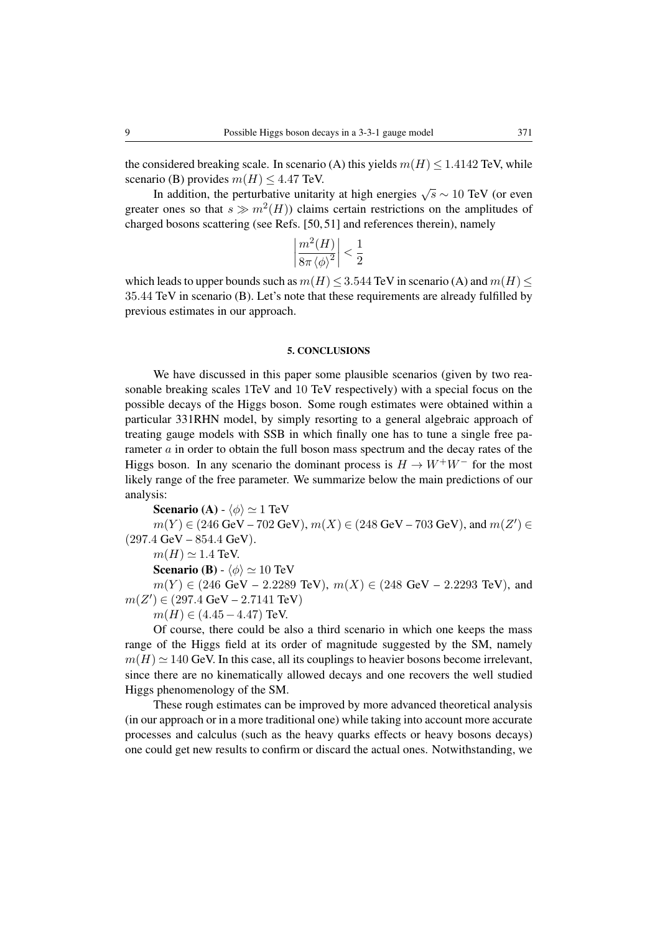the considered breaking scale. In scenario (A) this yields  $m(H) \le 1.4142$  TeV, while scenario (B) provides  $m(H) < 4.47$  TeV.

In addition, the perturbative unitarity at high energies  $\sqrt{s} \sim 10 \text{ TeV}$  (or even greater ones so that  $s \gg m^2(H)$ ) claims certain restrictions on the amplitudes of charged bosons scattering (see Refs. [50, 51] and references therein), namely

$$
\left|\frac{m^2(H)}{8\pi\left\langle \phi\right\rangle^2}\right|<\frac{1}{2}
$$

which leads to upper bounds such as  $m(H) \le 3.544$  TeV in scenario (A) and  $m(H) \le$ 35.44 TeV in scenario (B). Let's note that these requirements are already fulfilled by previous estimates in our approach.

#### 5. CONCLUSIONS

We have discussed in this paper some plausible scenarios (given by two reasonable breaking scales 1TeV and 10 TeV respectively) with a special focus on the possible decays of the Higgs boson. Some rough estimates were obtained within a particular 331RHN model, by simply resorting to a general algebraic approach of treating gauge models with SSB in which finally one has to tune a single free parameter  $\alpha$  in order to obtain the full boson mass spectrum and the decay rates of the Higgs boson. In any scenario the dominant process is  $H \to W^+W^-$  for the most likely range of the free parameter. We summarize below the main predictions of our analysis:

**Scenario (A)** -  $\langle \phi \rangle \simeq 1$  TeV  $m(Y) \in (246 \text{ GeV} - 702 \text{ GeV}), m(X) \in (248 \text{ GeV} - 703 \text{ GeV}), \text{ and } m(Z') \in$  $(297.4 \text{ GeV} - 854.4 \text{ GeV}).$  $m(H) \simeq 1.4$  TeV. **Scenario (B)** -  $\langle \phi \rangle \simeq 10$  TeV  $m(Y) \in (246 \text{ GeV} - 2.2289 \text{ TeV}), m(X) \in (248 \text{ GeV} - 2.2293 \text{ TeV}), \text{ and}$ 

 $m(Z') \in (297.4 \text{ GeV} - 2.7141 \text{ TeV})$ 

 $m(H) \in (4.45 - 4.47)$  TeV.

Of course, there could be also a third scenario in which one keeps the mass range of the Higgs field at its order of magnitude suggested by the SM, namely  $m(H) \simeq 140$  GeV. In this case, all its couplings to heavier bosons become irrelevant, since there are no kinematically allowed decays and one recovers the well studied Higgs phenomenology of the SM.

These rough estimates can be improved by more advanced theoretical analysis (in our approach or in a more traditional one) while taking into account more accurate processes and calculus (such as the heavy quarks effects or heavy bosons decays) one could get new results to confirm or discard the actual ones. Notwithstanding, we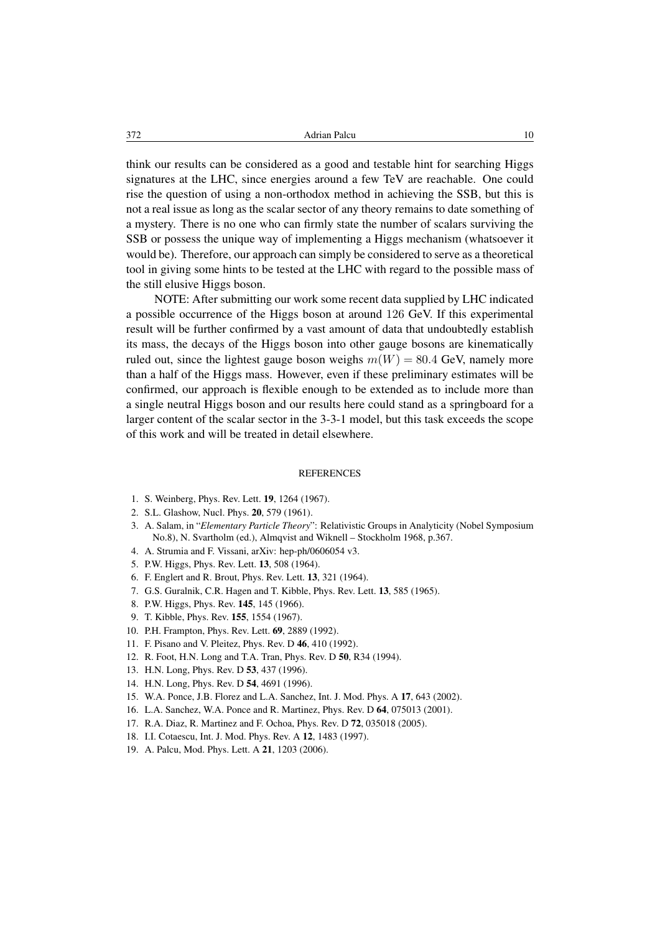think our results can be considered as a good and testable hint for searching Higgs signatures at the LHC, since energies around a few TeV are reachable. One could rise the question of using a non-orthodox method in achieving the SSB, but this is not a real issue as long as the scalar sector of any theory remains to date something of a mystery. There is no one who can firmly state the number of scalars surviving the SSB or possess the unique way of implementing a Higgs mechanism (whatsoever it would be). Therefore, our approach can simply be considered to serve as a theoretical tool in giving some hints to be tested at the LHC with regard to the possible mass of the still elusive Higgs boson.

NOTE: After submitting our work some recent data supplied by LHC indicated a possible occurrence of the Higgs boson at around 126 GeV. If this experimental result will be further confirmed by a vast amount of data that undoubtedly establish its mass, the decays of the Higgs boson into other gauge bosons are kinematically ruled out, since the lightest gauge boson weighs  $m(W) = 80.4$  GeV, namely more than a half of the Higgs mass. However, even if these preliminary estimates will be confirmed, our approach is flexible enough to be extended as to include more than a single neutral Higgs boson and our results here could stand as a springboard for a larger content of the scalar sector in the 3-3-1 model, but this task exceeds the scope of this work and will be treated in detail elsewhere.

#### **REFERENCES**

- 1. S. Weinberg, Phys. Rev. Lett. 19, 1264 (1967).
- 2. S.L. Glashow, Nucl. Phys. 20, 579 (1961).
- 3. A. Salam, in "*Elementary Particle Theory*": Relativistic Groups in Analyticity (Nobel Symposium No.8), N. Svartholm (ed.), Almqvist and Wiknell – Stockholm 1968, p.367.
- 4. A. Strumia and F. Vissani, arXiv: hep-ph/0606054 v3.
- 5. P.W. Higgs, Phys. Rev. Lett. 13, 508 (1964).
- 6. F. Englert and R. Brout, Phys. Rev. Lett. 13, 321 (1964).
- 7. G.S. Guralnik, C.R. Hagen and T. Kibble, Phys. Rev. Lett. 13, 585 (1965).
- 8. P.W. Higgs, Phys. Rev. 145, 145 (1966).
- 9. T. Kibble, Phys. Rev. 155, 1554 (1967).
- 10. P.H. Frampton, Phys. Rev. Lett. 69, 2889 (1992).
- 11. F. Pisano and V. Pleitez, Phys. Rev. D 46, 410 (1992).
- 12. R. Foot, H.N. Long and T.A. Tran, Phys. Rev. D 50, R34 (1994).
- 13. H.N. Long, Phys. Rev. D 53, 437 (1996).
- 14. H.N. Long, Phys. Rev. D 54, 4691 (1996).
- 15. W.A. Ponce, J.B. Florez and L.A. Sanchez, Int. J. Mod. Phys. A 17, 643 (2002).
- 16. L.A. Sanchez, W.A. Ponce and R. Martinez, Phys. Rev. D 64, 075013 (2001).
- 17. R.A. Diaz, R. Martinez and F. Ochoa, Phys. Rev. D 72, 035018 (2005).
- 18. I.I. Cotaescu, Int. J. Mod. Phys. Rev. A 12, 1483 (1997).
- 19. A. Palcu, Mod. Phys. Lett. A 21, 1203 (2006).